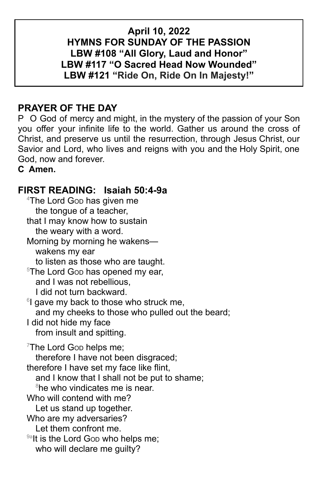## **April 10, 2022 HYMNS FOR SUNDAY OF THE PASSION LBW #108 "All Glory, Laud and Honor" LBW #117 "O Sacred Head Now Wounded" LBW #121 "Ride On, Ride On In Majesty!"**

# **PRAYER OF THE DAY**

P O God of mercy and might, in the mystery of the passion of your Son you offer your infinite life to the world. Gather us around the cross of Christ, and preserve us until the resurrection, through Jesus Christ, our Savior and Lord, who lives and reigns with you and the Holy Spirit, one God, now and forever.

**C Amen.**

# **FIRST READING: Isaiah 50:4-9a**

 $4$ The Lord Gop has given me the tongue of a teacher, that I may know how to sustain the weary with a word. Morning by morning he wakens wakens my ear to listen as those who are taught. <sup>5</sup>The Lord Gop has opened my ear, and I was not rebellious, I did not turn backward. <sup>6</sup>I gave my back to those who struck me, and my cheeks to those who pulled out the beard; I did not hide my face from insult and spitting.  $7$ The Lord Gop helps me; therefore I have not been disgraced; therefore I have set my face like flint, and I know that I shall not be put to shame; <sup>8</sup>he who vindicates me is near. Who will contend with me? Let us stand up together. Who are my adversaries? Let them confront me. <sup>9a</sup>lt is the Lord Gop who helps me; who will declare me guilty?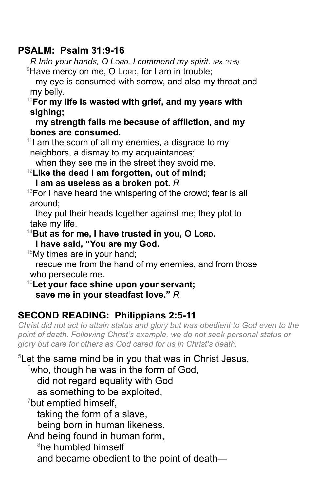## **PSALM: Psalm 31:9-16**

*R Into your hands, O LORD, I commend my spirit. (Ps. 31:5)*  $\theta$ Have mercy on me, O Lorp, for I am in trouble;

my eye is consumed with sorrow, and also my throat and my belly.

<sup>10</sup>**For my life is wasted with grief, and my years with sighing;**

**my strength fails me because of affliction, and my bones are consumed.**

 $11$  am the scorn of all my enemies, a disgrace to my neighbors, a dismay to my acquaintances;

when they see me in the street they avoid me.

<sup>12</sup>**Like the dead I am forgotten, out of mind; I am as useless as a broken pot.** *R*

 $13$ For I have heard the whispering of the crowd; fear is all around;

they put their heads together against me; they plot to take my life.

<sup>14</sup>**But as for me, I have trusted in you, O LORD.**

**I have said, "You are my God.**

 $15My$  times are in your hand;

rescue me from the hand of my enemies, and from those who persecute me.

<sup>16</sup>**Let your face shine upon your servant; save me in your steadfast love."** *R*

## **SECOND READING: Philippians 2:5-11**

*Christ did not act to attain status and glory but was obedient to God even to the point of death. Following Christ's example, we do not seek personal status or glory but care for others as God cared for us in Christ's death.*

<sup>5</sup>Let the same mind be in you that was in Christ Jesus,

 $6$ who, though he was in the form of God,

did not regard equality with God

as something to be exploited,

 $7$ but emptied himself,

taking the form of a slave,

being born in human likeness.

And being found in human form,

<sup>8</sup>he humbled himself

and became obedient to the point of death—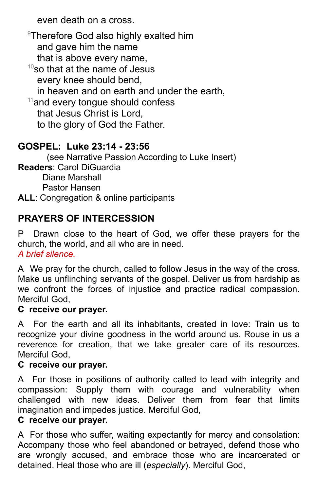even death on a cross.

<sup>9</sup>Therefore God also highly exalted him and gave him the name that is above every name,  $10$ so that at the name of Jesus every knee should bend, in heaven and on earth and under the earth,  $11$ and every tongue should confess that Jesus Christ is Lord, to the glory of God the Father.

# **GOSPEL: Luke 23:14 - 23:56**

(see Narrative Passion According to Luke Insert) **Readers**: Carol DiGuardia Diane Marshall Pastor Hansen

**ALL**: Congregation & online participants

# **PRAYERS OF INTERCESSION**

P Drawn close to the heart of God, we offer these prayers for the church, the world, and all who are in need. *A brief silence.*

A We pray for the church, called to follow Jesus in the way of the cross. Make us unflinching servants of the gospel. Deliver us from hardship as we confront the forces of injustice and practice radical compassion. Merciful God,

## **C receive our prayer.**

A For the earth and all its inhabitants, created in love: Train us to recognize your divine goodness in the world around us. Rouse in us a reverence for creation, that we take greater care of its resources. Merciful God,

#### **C receive our prayer.**

A For those in positions of authority called to lead with integrity and compassion: Supply them with courage and vulnerability when challenged with new ideas. Deliver them from fear that limits imagination and impedes justice. Merciful God,

## **C receive our prayer.**

A For those who suffer, waiting expectantly for mercy and consolation: Accompany those who feel abandoned or betrayed, defend those who are wrongly accused, and embrace those who are incarcerated or detained. Heal those who are ill (*especially*). Merciful God,